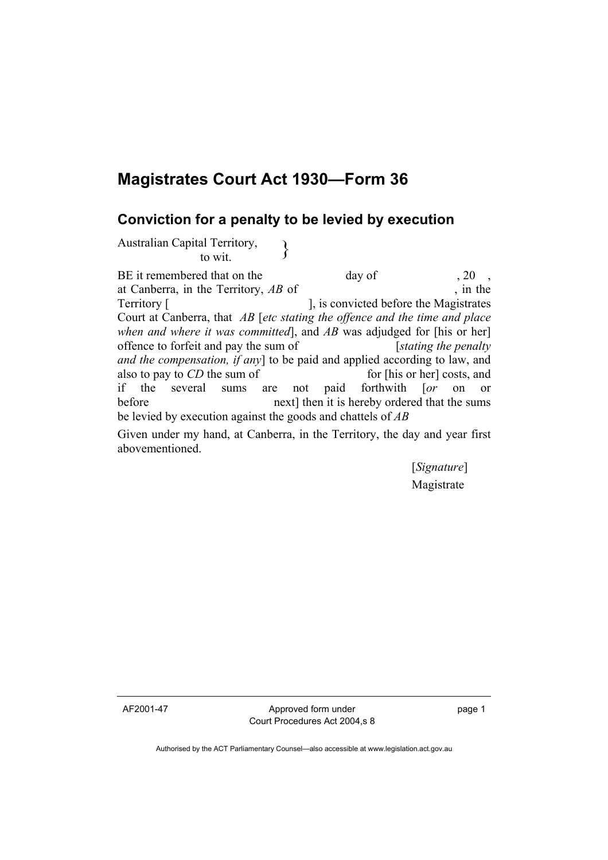## **Magistrates Court Act 1930—Form 36**

## **Conviction for a penalty to be levied by execution**

Australian Capital Territory,<br>to wit.

BE it remembered that on the day of , 20 at Canberra, in the Territory, *AB* of , in the Territory [ ], is convicted before the Magistrates Court at Canberra, that *AB* [*etc stating the offence and the time and place when and where it was committed*], and *AB* was adjudged for [his or her] offence to forfeit and pay the sum of [*stating the penalty and the compensation, if any*] to be paid and applied according to law, and also to pay to *CD* the sum of for [his or her] costs, and if the several sums are not paid forthwith [*or* on or before next] then it is hereby ordered that the sums be levied by execution against the goods and chattels of *AB*

Given under my hand, at Canberra, in the Territory, the day and year first abovementioned.

> [*Signature*] Magistrate

AF2001-47 Approved form under Court Procedures Act 2004,s 8 page 1

Authorised by the ACT Parliamentary Counsel—also accessible at www.legislation.act.gov.au